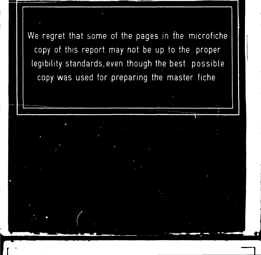We regret that some of the pages in the microfiche copy of this report may not be up to the proper legibility standards,even though the best possible copy was used for preparing the master fiche.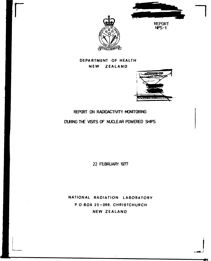



**DEPARTMENT OF HEALTH NEW ZEALAND** 



# **REPORT ON RADIOACTIVITY MONITORING**

**DURING THE VISITS OF NUCLEAR POWERED SHIPS** 

**22 FEBRUARY 1977** 

**NATIONAL RADIATION LABORATORY P.O.BOX 25-099 . CHRISTCHURCH NEW ZEALAND**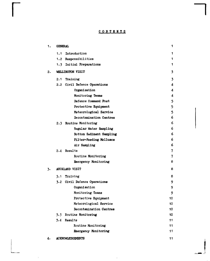# **CONTENT S**

| 1. | <b>GENERAL</b>               | 1  |
|----|------------------------------|----|
|    | Introduction<br>1.1          | 1  |
|    | 1.2<br>Responsibilities      | 1  |
|    | 1.3 Initial Preparations     | 1  |
| 2. | WELLINGTON VISIT             | 3  |
|    | Training<br>2.1              | 3  |
|    | 2.2 Civil Defence Operations | 4  |
|    | Organisation                 | 4  |
|    | Monitoring Teams             | 4  |
|    | Defence Command Post         | 5  |
|    | Protective Equipment         | 5  |
|    | Meteorological Service       | 5  |
|    | Decontamination Centres      | 6  |
|    | 2.3 Routine Monitoring       | 6  |
|    | Regular Water Sampling       | 6  |
|    | Bottom Sediment Sampling     | 6  |
|    | Filter-Feeding Molluscs      | 6  |
|    | Air Sampling                 | 6  |
|    | 2.4 Results                  | 7  |
|    | Routine Monitoring           | 7  |
|    | Emergency Monitoring         | 8  |
| 3. | AUCKLAND VISIT               | 8  |
|    | 5.1 Training                 | 8  |
|    | 3.2 Civil Defence Operations | 9  |
|    | Organisation                 | 9  |
|    | Monitoring Teams             | 9  |
|    | Protective Equipment         | 10 |
|    | Meteorological Service       | 10 |
|    | Decontamination Centres      | 10 |
|    | 3.3<br>Routine Monitoring    | 10 |
|    | 3.4<br>Results               | 11 |
|    | Routine Monitoring           | 11 |
|    | Emergency Monitoring         | 11 |
| 4. | <b>ACKNOWLEDGEMENTS</b>      | 11 |

 $\pm$ 

 $\frac{1}{2}$  .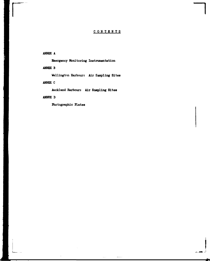# **CONTENT S**

<\*4

# **ANNEX A**

**Emergency Monitoring Instrumentation** 

# **ANNEX B**

**Wellington Harbour: Air Sampling Sites** 

# **ANNEX C**

**Auckland Harbour: Air Sampling Sites** 

# **ANNEX D**

**Photographic Plates** 

 $\bar{1}$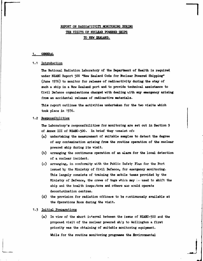# **REPORT ON RADIOACTIVITY MONITORING PORING THE VISITS OF NUCLEAR POWERED SHIPS TO NEW ZEALAND.**

#### **1. GENERAL**

#### **1.1 Introduction**

The National Radiation Laboratory of the Department of Health is required under NZAEC Report 500 "New Zealand Code for Muclear Powered Shipping" **(June 1976) to monitor for release of radioactivity during the stay of such a ship in a New Zealand port and to provide technical assistance to**  Civil Defence organisations charged with dealing with any emergency arising **from an accidental release of radioactive materials.** 

**This report outlines the activities undertaken for the two visits which took place in 1976.** 

#### **1.2 Responsibilities**

**The Laboratory\*s responsibilities for monitoring are set out in Section 9 of Annex III of NZAEC-5OO. In brief they consist oft** 

- **(a) undertaking the measurement of suitable samples to detect the degree of any contamination arising from the routine operation of the nuclear powered ship during its visit.**
- **(b) arranging the continuous operation of an alarm for the local detection of a nuclear incident.**
- **(c) arranging, in conformity with the Public Safety Plan for the Port issued by the Ministry of Civil Defence, for emergency monitoring. This largely consists of training the mobile teams provided by the Ministry of Defence, the crews of tugs which may be used to shift the** ship and the health inspectors and others who would operate **decontamination centres.**
- **(d) the provision for radiation officers to be continuously available at the Operations Room during the visit.**

#### **1.3 Initial Preparations**

**(a) In view of the short interval between the issue of NZAEC-5OO and the**  proposed visit of the nuclear powered ship to Wellington a first **priority was the obtaining of suitable monitoring equipment. While for the routine monitoring programme the Environmental**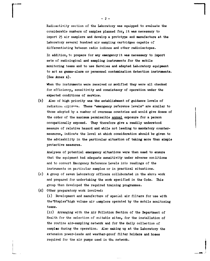Radioactivity section of the Laboratory was equipped to evaluate the considerable numbers of samples planned for, it was necessary to import 25 air samplers and develop a prototype and manufacture at the Laboratory several hundred air sampling cartridges capable of differentiating between radio iodines and other radioisotopes.

In addition, to prepare for any emergency it was necessary to import sets of radiological and sampling instruments for the mobile monitoring teams and to use Services and adapted Laboratory equipment to act as gamma-alarm or personnel contamination detection instruments. (See Annex A).

When the instruments were received or modified they were all checked for efficiency, sensitivity and consistency of operation under the expected conditions of service.

(b) Also of high priority was the establishment of guidance levels of radiation experime. These "emergency reference levels" are similar to those adopted by a number of overseas countries and would give doses of the order of the maximum permissible annual exposure for a person occupationally exposed. They therefore give a readily understood measure of relative hazard and while not leading to mandatory countermeasures, indica+e the level at which consideration should be given to the advisability in the particular situation of taking more than simple protective measures.

Analyses of potential emergency situations were then used to ensure that the equipment had adequate sensitivity under adverse conditions and to convert Emergency Reference Levels into readings of the instruments on particular samples or in practical situations.

- (c) A group of seven Laboratory officers collaborated in the abcvs work and prepared for undertaking the work specified in the Code. This group then developed the required training programmes.
- (d) Other preparatory work involved:

(i) Development and manufacture of special air filters for use with the"Staplex"high volume air samplers operated by the mobile monitoring teams.

(ii) Arranging with the Air Pollution Section of the Department of Health for the selection of suitable sites, for the installation of the routine air-sampling network and for the daily collection of samples during the operation. Also making up at the Laboratory the extension power-leads and weather-proof filter holders and hoses required for the air pumps used in the network.

 $- 2 -$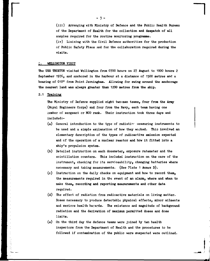**(iii) Arranging with Ministry of Defence and the Public Health Bureau of the Department of Health for the collection and despatch of all samples required for the routine monitoring programme.** 

**(iv) Liaising with the Civil Defence authorities for the production of Public Safety Plans and for the collaboration required during the visits.** 

#### *NELLINGTON VISIT*

**The USS THUXTDN visited Wellington from 0700 hours on 27 August to 1000 hours 2 September 1976, and anchored in the harbour at a distance of 1500 metres and a bearing of 010° from Point Jemingham. Allowing for swing around the anchorage the nearest land was always greater than 1200 metres from the ship.** 

## **2.1 Training**

**The Ministry of Defence supplied eight two-man teamst four from the Army (Royal Engineers Corps) and four from the Navy, each team having one member of sergeant or NC0 rank. Their instruction took three days and included:-**

- **(a) Ceneral introduction to the type of radiation measuring instruments to be used and a simple explanation of how they worked. This involved an elementary description of the types of radioactive emission expected and cf the operation of a nuclear reactor and how it fitted into a ship's propulsion system.**
- **(b) Detailed instruction on each dosemeter, exposure ratemeter and the scintillation counters. This included instruction on the care of the instrument, checking for its serviceability, changing batteries where necessary and taking measurements. (See Plate 1 Annex D).**
- **(c) Instruction on the daily checks on equipment and how to record them, the measurements required in the event of an alarm, where and when to make them, recording and reporting measurements and other data required.**
- **(d) The effect of radiation from radioactive materials on living matter. Doses necessary to produce detectable physical effects, minor ailments and serious health harards. The existence and magnitude of background radiation and the derivation of maximum permitted doses and dose limits.**
- **(e) On the third day the defence teams were joined by ten health inspectors from the Department of Health and the procedures to be followed if contamination of the public were suspected were outlined.**

- 3 -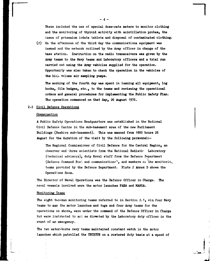**These included the use of special dose-rate meters to monitor clothing and the monitoring of thyroid activity with scintillation probes, the issue of potassium iodate tablets and disposal of contaminated clothing,** 

**(f) On the afternoon of the third day the communications equipment was issued and the network outlined by the Army officer in charge of the base station. Instruction on the radio transceivers was given by the Army teams to the Navy teams and Laboratory officers and a trial run carried out using the Army vehicles supplied for the operation. Opportunity was also taken to check the operation in the vehicles of**  the high volume air sampling pumps.

**The morning of the fourth day was spent in issuing all equipment, log books, film badges, etc., to the teams and reviewing the operational orders and general procedures for implementing the Public Safety Plan. The operation commenced on that day, 26 August 1976.** 

#### **Civil Defence Operations**

#### **Organisation**

**A Public Safety Operations Headquarters was established in the National Civil Defence Centre in the sub-basement area of the new Parliament Buildings (Beehive sub-basement). This was manned from 1800 hours 26 August for the duration of the visit by the following personnel:-**

**The Regional Commissioner of Civil Defence for the Central Region, an observer and three scientists from the National Radiatir Laboratory (technical advisors), duty Naval staff from the Defence Department**  (Defence Command Pos<sup>2</sup>, and communications<sup>1</sup>, and members oi the monitoring **teams provided by the Defence Department. Plate 2 Annex D shows the Operat/ons Room.** 

**The Director of Naval Operations was the Defence Officer in Charge. The naval vessels involved were the motor launches PAEA and MANGA.** 

#### **Monitoring Teams**

**The eight tvo-man monitoring teams referred to in Section 2.1, viz. four Navy teams to man the motor launches and tugs and four Army teams for the operations on shore, were under the command of the Defence Officer in Charge**  but were instructed to act as directed by the Laboratory duty officer in the **event of an emergency.** 

**The two water-borne navy teams maintained constant watch in the motor launches which patrolled the TRUXTUN on a rostered duty basis at a speed of** 

- 4 -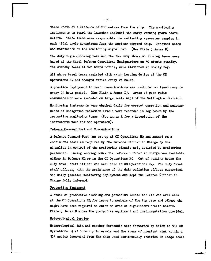three knots at a distance of 200 metres from the ship. The monitoring **instruments on board the launches included the early warning gamma alarm meters. These teams were responsible for collecting sea-water samples in each tidal cycle downstream from the nuclear powered ship. Constant watch was maintained on the monitoring signal net. (See Plate 3 Annex D).** 

**Hie duty tug monitoring team and the two duty shore monitoring teams were based at the Civil Defence Operations Headquarters on 30-minute standby. The standby teams at two hours notice, were stationed at Shelly Bay.** 

**All shore based teams assisted with watch keeping duties at the CD Operations HQ and changed duties every 24 hours.** 

**A practice deployment to test communications was conducted at least once in every 24 hour period. (See Plate 4 Annex D). Areas of poor radio communication were recorded on large scale maps of the Wellington district.** 

**Monitoring instruments were checked daily for correct operation and measurements of background radiation levels were recorded in log books by the respective monitoring teams (See Annex A for a description of the instruments used for the operation).** 

#### **Defence Command Post and Communications**

**A Defence Command Post was set up at CD Operations HQ and manned on a continuous basis as required by the Defence Officer in Charge by the signaller in control of the monitoring signals net, assisted by monitoring personnel. During working hours \*he Defence Officer in Charge was available either in Defence HQ or in the CD Operations HQ. Out of working hours the duty Naval staff officer was available in CD Operations HQ. The duty Naval staff officer, with the assistance of the duty radiation officer supervised the daily practice monitoring deployment and kept the Defence Officer in Charge fully informed.** 

#### **Protective Equipment**

**A stock of protective clothing and potassium iodate tablets was available at the CD Operations HQ for issue to members of the tug crew and others who might have beer required to enter an area of significant health hazard. Plate 5 Annex D shows the protective equipment and instrumentation provided.** 

#### **Meteorological Service**

**Meteorological data and weather forecasts were forwarded by telex to the CD Operations HQ at 6 hourly intervals and the areas of greatest risk within a JO0 sector down-wind from the ship were continuously recorded on large scale** 

 $-5 -$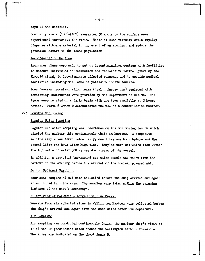#### **maps of the district.**

**Southerly winds (160°-210°) averaging 50 knots on the surface were experienced throughout the visit. Winds of such velocity would rapidly disperse airborne material in the event of an accident and reduce the potential hazard to the local population.** 

#### **Decontamination Centres**

**Emergency plans were made to set up decontamination centres with facilities to measure individual contamination and radioactive iodine uptake by the thyroid gland, to decontaminate affected persons, and to provide medical facilities including the issue of potassium iodate tablets.** 

**Pour two-man decontamination teams (health inspectors) equipped with monitoring instruments were provided by the Department of Health. The teams were rotated on a daily basis with one team available at 2 hours notice. Plate 6 Annex D demonstrates the use of a contamination monitor.** 

#### **Routine Monitoring**

#### **Regular Water Sampling**

**Regular sea water sampling was undertaken on the monitoring launch which circled the nuclear ship continuously while in harbour. A composite 2-litre sample was taken twice daily, one litre one hour before and the second litre one hour after high tide. Samples were collected from within the top metre of water 500 metres downstream of the vessel.** 

**In addition a pre-visit background sea water sample was taken from the harbour on the evening before the arrival of the nuclear powered ship.** 

#### **Bottom Sediment Sampling**

**Four grab samples of mud were collected before the ship arrived and again after it had left the area. The samples were taken within the swinging distance of the ship's anchorage.** 

## **Filter-Feeding Molluscs - Large Size Blue Mussel**

**Mussels from six selected sites in Wellington Harbour were collected before the ship's arrival and again from the same sites after its departure.** 

#### **Air Sampling**

**Air sampling was conducted continuously during the nuclear ship's visit at 17 of the 22 preselected sites around the Wellington harbour foreshore. The sites are indicated on the chart Annex B.** 

**- 6 -**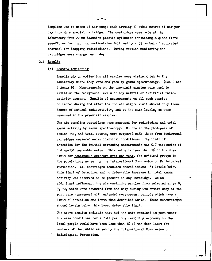Sampling was by means of air pumps each drawing 17 cubic metres of air per day through a special cartridge. The cartridges were made at the Laboratory from 22 mm diameter plastic cylinders containing a glass-fibre pre-filter for trapping particulates followed by a 35 mm bed of activated charcoal for trapping radioiodines. Daring routine monitoring the cartridges were changed each day.

## 2.4 Results

## (a) Routine monitoring

Immediately on collection all samples were airfreighted to the Laboratory where they were analysed by gamma spectroscopy. (See Plate 7 Annex D). Measurements on the pre-visit samples were used to establish the background levels of any natural or artificial radioactivity present. Results of measurements on all such samples collected during and after the nuclear ship's visit showed only those traces of natural radioactivity, and at the same levels, as were measured in the pre-visit samples.

The air sampling cartridges were measured for radioiodine and total gamma activity by gamma spectroscopy. Counts in the photopeak of iodine-131, and total counts, were compared with those from background cartridges measured under identical conditions. The limit of detection for the initial screening measurements was 0.7 picocuries of iodine-131 per cubic metre. This value is less than 1% of the dose limit for continuous exposure over one year, for critical groups in the population, as set by the International Commission on Radiological Protection. All cartridges measured showed iodine-131 levels below this limit of detection and no detectable increase in total gamma activity was observed to be present in any cartridge. As an additional refinement the air cartridge samples from selected sites  $\theta$ ,  $9<sub>9</sub>$  10, which were downwind from the ship during its entire stay at the port were reassessed with extended measurement periods which gave a limit of detection one-tenth that described above. These measurements showed levels below this lower detectable limit.

The above results indicate that had the ship remained in port under the same conditions for a full year the resulting exposure to the local people would have been less than 1% of the dose limit for members of the public as set by the International Commission on Radiological Protection.

- 7 -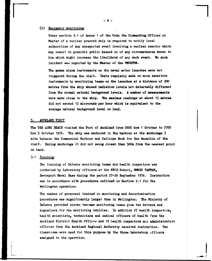## **(b) Emergency monitoring**

Under section 3.1 of Annex 1 of the Code the Commanding Officer or **Master of a nuclear powered ship is required to notify local authorities of any unexpected event involving a nuclear reactor which may result in possible public hazard or of any circumstances known to him which might increase the likelihood of any such event. No such incident wad reported by the Master of the TKUXTUN.** 

**The gamma alarm instruments on the naval motor launches were not triggered during the visit. Tests regularly made on more sensitive instruments by monitoring teams on the launches at a distance of 200 metres from the ship showed radiation levels not detectably different from the normal natural background levels. A number of measurements were made close to the ship. The maximum readings at about 15 metres did not exceed 12 microrads per hour which is equivalent to the average natural background level on land.** 

## **3. AUCKLAND VISIT**

**The USS LONG EBACH visited the Port of Auckland from 0600 hrs 1 October to 0700 hrs 5 October 1976. The ship was anchored in the harbour at the Anchorage 3 site between the Commercial Harbour and Calliope Dock for the duration of the visit. During anchorage it did not swing closer than 500m from the nearest point on land.** 

## **3.1 Training**

**The training of Defence monitoring teams and health inspectors was conducted by Laboratory officers at the NBCD School, HMNZS TASMAN, Devonport Naval Base during the period 27-29 September 1976. Instruction was in accordance with procedures outlined in Section 2.1 for the Wellington operation.** 

**The number of personnel trained in monitoring and decontamination procedures was significantly larger than in Wellington. The Ministry of Defence provided eleven two-man monitoring teams plus ten drivers and**  signallers for the monitoring vehicles. In addition 27 health inspectors, **health scientists, technicians and aedical officers of health from the Auckland District Health Offices and 19 health inspectors and administration officers from the Auckland Regional Authority received instruction. Two classrooms were used for this purpose by the three Laboratory officers assigned to the operation.**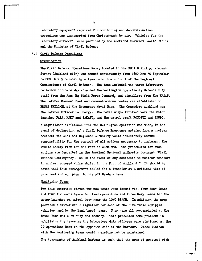**Laboratory equipment required for monitoring and decontamination procedures was transported from Christchurch by air. Vehicles for the Laboratory officers were provided by the Auckland District Health Office and the Ministry of Civil Defence.** 

#### **Civil Defence Operations**

#### **Organisation**

**The Civil Defence Operations Room, located in the BBCA Building, Vincent Street (Auckland city) was manned continuously from 1600 hrs 30 September to 0800 hrs 5 October by a team under the control of the Regional Commissioner of Civil Defence. The team included the three Laboratory radiation officers who attended the Wellington operations, Defence duty staff from the Army HQ Field Force Command, and signallers from the RNZAF. The Defence Command Post and communications centre was established on HMNZS PHILOMEL at the Devonport Naval Base. The Commodore Auckland was the Defence Officer in Charge. The naval ships involved were the motor**  launches PAEA, HAKU and TAKAPU, and the patrol craft ROTOITI and TAUPO.

**A significant difference from the Wellington operation was that, in the event of declaration of a Civil Defence Emergency arising from a nuclear accident the Auckland Regional Authority would immediately assume responsibility for the control of all actions necessary to implement the Public Safety Plan for the Port of Auckland. The procedures for such actions are described in the Auckland Regional Authority document "Civil Defence Contingency Plan in the event of any accidents to nuclear reactors in nuclear powered ships whilst in the Port of Auckland." It should be noted that this arrangement called for a transfer at a critical time of personnel and equipment to the ARA Headquarters.** 

#### **Monitoring Teams**

**For this operation eleven two-man teams were formed viz. four Army teams and four Air Force teams for land operations and three Navy teams for the motor launches on patrol duty near the LONG BEACH. In addition the army**  provided a driver and a signaller for each of the five radio equipped **vehicles used by the land based teams. T.iey were all accommodated at the Naval Base while on duty and standby. This presented some problems in mobilising the teams as the Laboratory duty officers were stationed at the CD Operations Room on the opposite side of the harbour. Close liaison with the monitoring teams could therefore not be maintained.** 

**The topography of Auckland harbour is such that the area of greatest risk** 

- 9 -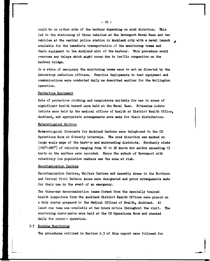**could be on either side of the harbour depending on wind direction. Oris led to the stationing of three vehicles at the Devonport Naval Base and two vehicles at the central police station in Auckland city with a naval launch available for the immediate transportation cf the monitoring teams and their equipment to the Auckland side of the harbour. This procedure would overcome any delays which might occur due to traffic congestion on the harbour bridge.** 

**In a state cf emergency the monitoring teams were to act as directed by the Laboratory radiation officers. Practice deployments to test equipment and communications were conducted daily as described earlier for the Wellington operation.** 

#### **Protective Equipment**

**Sets of protective clothing and respirators suitable for use in areas of significant health hazard were held at the Naval Base. Potassium iodate tablets were held by the medical officer of health at District Health Office, Auckland, and appropriate arrangements were made for their distribution.** 

### **Meteorological Service**

**Meteorological forecasts for Auckland harbour were telephoned to the CD Operations Room at 6-hourly intervals. The wind direction was marked on**  large scale maps of the harbour and surrounding districts. Southerly winds **(1600-280°) of velocity ranging from 10 to 20 knots but seldom exceeding 15 knots on the surface were recorded. Hence the suburb of Devonport with relatively low population numbers was the area at risk.** 

#### **Decontamination Centres**

**Decontamination Centres, Welfare Centres and Assembly Areas in the Northern and Central Civil Defence Areas were designated and prior arrangements made for their use in the event of an emergency.** 

**The three-man decontamination teams formed from the specially trained health inspectors from the Auckland District Health Offices were placed on a duty roster prepared by the Medical Officer of Health, Auckland. At least one team was available at two hours notice throughout the visit. The monitoring instruments were held at the CD Operations Room and checked daily for correct operation.** 

#### **Routine Monitoring**

**The procedures outlined in Section 2.3 of this report were followed for** 

**- 10 -**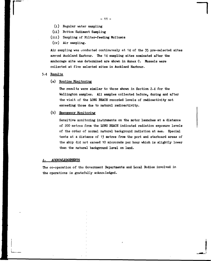- (i) Regular water sampling
- (ii) Bottom Sediment Sampling
- (iii) Sampling of Filter-feeding Molluscs
- (iv) Air sampling.

Air sampling was conducted continuously at 14 of the 35 pre-selected sites arownd Auckland Harbour. The 14 sampling sites nominated after the anchorage site was determined are shown in Annex C. Mussels were collected at five selected sites in Auckland Harbour.

- 3.4 Results
	- (a) Routine Monitoring

The results were similar to those shown in Section 2.4 for the Wellington samples. All samples collected before, during and after the visit of the LONG BEACH recorded levels of radioactivity not exceeding those due to natural radioactivity.

(b) Emergency Monitoring

Sensitive monitoring instruments on the motor launches at a distance of 200 metres from the LONG BEACH indicated radiation exposure levels of the order of normal natural background radiation at sea. Special tests at a distance of 13 metres from the port and starboard areas of the ship did not exceed 10 microrads per hour which is slightly lower than the natural background level on land.

#### 4. ACKNOWLEDGEMENTS

The co-operation of the Government Departments and Local Bodies involved in the operations is gratefully acknowledged.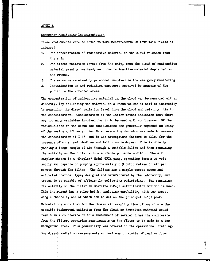#### ANNEX A

#### Emergency Monitoring Instrumentation

These instruments were selected to make measurements in four main fields of interest:

- 1. The concentration of radioactive material in the cloud released from the ship.
- 2. The direct radiation levels from the ship, from the cloud of radioactive material passing overhead, and from radioactive material deposited on the ground.
- 3. The exposure received by personnel involved in the emergency monitoring.
- 4. Contamination on and radiation exposures received by members of the public in the affected areas.

The concentration of radioactive material in the cloud can be measured either directly, (by collecting the material in a known volume of air) or indirectly by measuring the direct radiation level from the cloud and relating this to the concentration. Consideration of the latter method indicates that there are too many variables involved for it to be used with confidence. Of the radionuclides in the cloud the radioiodines are generally regarded as being of the most significance. For this reason the decision was made to measure the concentration of I-131 and to use appropriate factors to allow for the presence of other radioiodines and tellurium isotopes. This is done by passing a large sample of air through a suitable filter and then measuring the activity on the filter with a suitable portable monitor. The air sampler chosen is a "Staplex" Model TPIA pump, operating from a 24 volt supply and capable of pumping approximately 0.9 cubic metres of air per minute through the filter. The filters are a simple copper gauze and activated charcoal type, designed and manufactured by the Laboratory, and tested to be capable of efficiently collecting radioiodine. For meaeuring the activity on the filter an Eberline PRM-5N scintillation monitor is used. This instrument has a pulse height analysing capability, with two preset single channels, one of which can be set on the principal 1-131 peak.

Calculations show that for the chosen air sampling time of one minute the possible background radiation from the cloud or deposited material could result in a count-rate on this instrument of several times the count-rate from the filter, requiring measurements on the filter to be made in a low background area. This possibility was covered in the operational training. For direct radiation measurements an instrument capable of reading from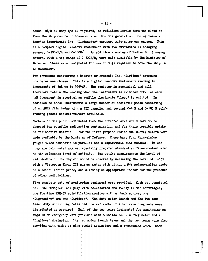**about 1mR/h to many** *ft/h* **is -required, as radiation levels from the cloud or from the ship can be of these orders. For the general monitoring teams a Reactor Experiments Inc. "Digimaster" exposure rate-meter was chosen. This is a compact digital readout instrument with two automatically changing ranges, 0-100mR/h and 0-tOOR/h. In addition a number of Radiac No. 2 survey**  meters, with a top range of 0-300R/h, were made available by the Ministry of Defence. These were designated for use in tugs required to move the ship in **an emergency.** 

For personnel monitoring a Reactor Ex<sub>13</sub>riments Inc. "Digidose" exposure **dosimeter was chosen. This is a digital readout instrument reading in increments of 1mR up to 9999mR. The register is mechanical and will therefore retain the reading when the instrument is switched off. As each 1mR increment is received an audible electronic "bleep" is emitted. In addition to these instruments a large number of dosimeter packs consisting of an AERE film badge with a TLD capsule, and several 0-5 R and 0-150 H selfreading pocket dosimeters,were available.** 

**Members of the public evacuated from the affected area would have to be checked for possible radioactive contamination and for their possible uptake of radioactive material. For the first purpose Radiac MD2 survey meters were made available by the Ministry of Defence. These have four thin-window geiger tubes connected in parallel and a logarithmic dial readout. In use they are calibrated against specially prepared standard surfaces contaminated to the reference level of activity. For uptake measurements the level of radioiodine in the thyroid would be checked by measuring the level of 1-131**  with a Victoreen Thyac III survey meter with either a  $\beta$ - $\gamma$  geiger-muller probe **or a scintillation probe, and allowing an appropriate factor for the presence of other radioiodines.** 

**Five complete sets of monitoring equipmert were provided. Each set consisted of: one "Staplex" air pump with accessories and twenty filter cartridges, one Eberline PRM-5N scintillation monitor with a check source, one "Digimaster" and one "Digidose". The duty motor launch and the two land based duty monitoring teams had one set each. The two remaining sets were distributed as required. Each of the two teams designated for monitoring on tugs in an emergency were provided with a Radiac No. 2 survey meter and a "Digidose" dosimeter. The two motor launch teams and the tug teams werp also provided with eight or nine pocket dosimeters and a recharging unit. Each** 

- 11 -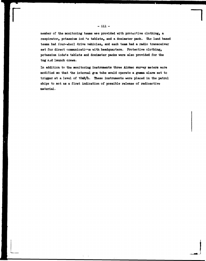**member of the monitoring teams was provided with protective clothing, a**  respirator, potassium iodite tablets, and a dosimeter pack. The land based **teams had four-wheel drive vehicles, and each team had a radio transceiver**  set for direct communications with headquarters. Protective clothing, **potassium iodate tablets and dosimeter packs were also provided for the tug 2ad launch crews.** 

**In addition to the monitoring instruments three Aimec survey meters were modified so that the internal g-m tube would operate a gamma alarm set to trigger at a level of lOmR/h. These instruments were placed in the patrol ships to act as a first indication of possible release of radioactive material.**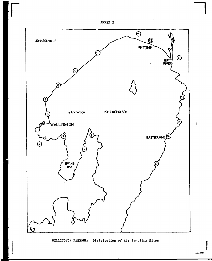



WELLINGTON HARBOUR: Distribution of Air Sampling Sites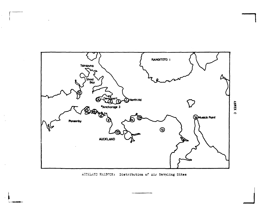

AUCKLAND HARBOUR: Distribution of Air Sampling Sites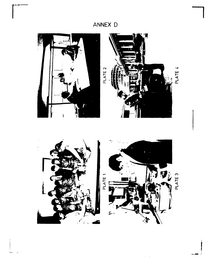# ANNEX D



 $\bar{z}$ 

 $\bar{\mathcal{A}}$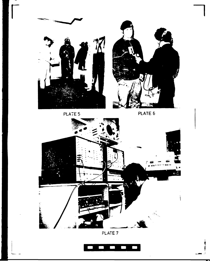

**M^aM M** 



**~l** 



**PLATE 7**